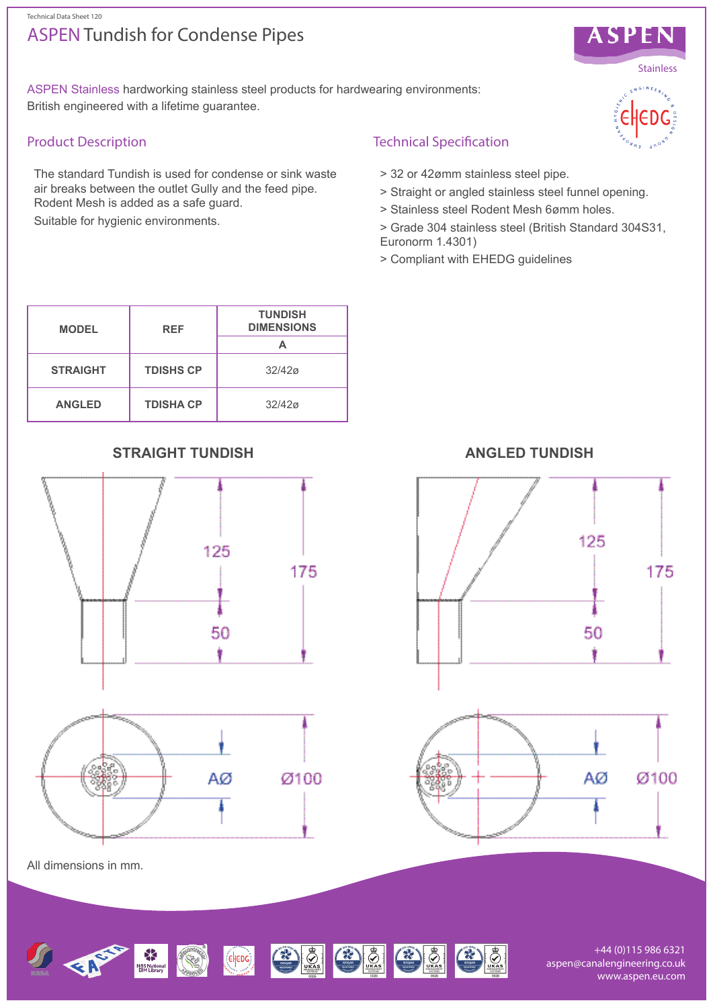# ASPEN Tundish for Condense Pipes



ASPEN Stainless hardworking stainless steel products for hardwearing environments: British engineered with a lifetime guarantee.

## Product Description

The standard Tundish is used for condense or sink waste air breaks between the outlet Gully and the feed pipe. Rodent Mesh is added as a safe guard.

Suitable for hygienic environments.

## Technical Specification

- > 32 or 42ømm stainless steel pipe.
- > Straight or angled stainless steel funnel opening.
- > Stainless steel Rodent Mesh 6ømm holes.
- > Grade 304 stainless steel (British Standard 304S31, Euronorm 1.4301)
- > Compliant with EHEDG guidelines

| <b>MODEL</b>    | <b>REF</b>       | <b>TUNDISH</b><br><b>DIMENSIONS</b> |
|-----------------|------------------|-------------------------------------|
| <b>STRAIGHT</b> | <b>TDISHS CP</b> | 32/420                              |
| <b>ANGLED</b>   | <b>TDISHA CP</b> | 32/420                              |

# **STRAIGHT TUNDISH ANGLED TUNDISH**









All dimensions in mm.



+44 (0)115 986 6321 aspen@canalengineering.co.uk www.aspen.eu.com